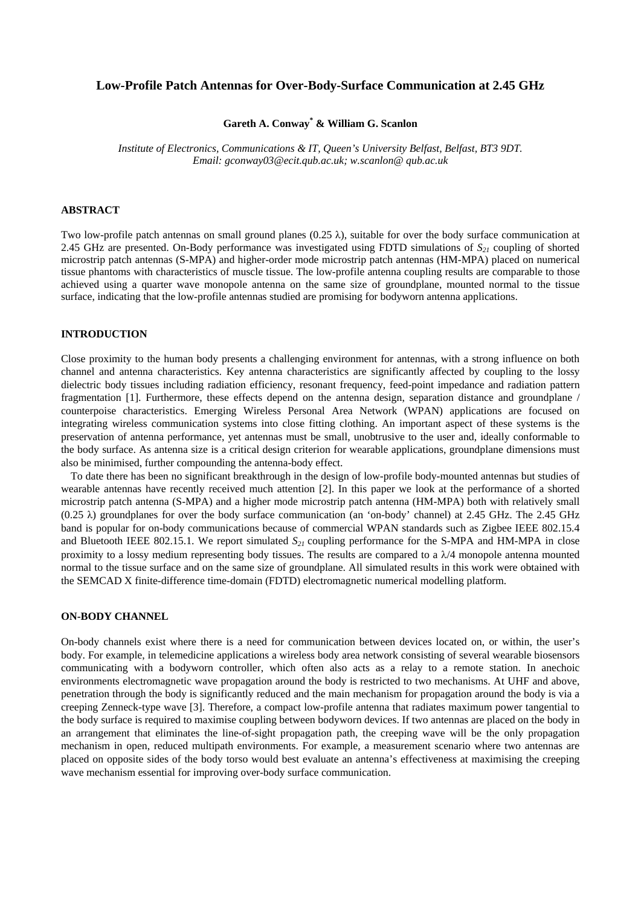# **Low-Profile Patch Antennas for Over-Body-Surface Communication at 2.45 GHz**

**Gareth A. Conway\* & William G. Scanlon**

*Institute of Electronics, Communications & IT, Queen's University Belfast, Belfast, BT3 9DT. Email: gconway03@ecit.qub.ac.uk; w.scanlon@ qub.ac.uk* 

# **ABSTRACT**

Two low-profile patch antennas on small ground planes  $(0.25 \lambda)$ , suitable for over the body surface communication at 2.45 GHz are presented. On-Body performance was investigated using FDTD simulations of *S21* coupling of shorted microstrip patch antennas (S-MPA) and higher-order mode microstrip patch antennas (HM-MPA) placed on numerical tissue phantoms with characteristics of muscle tissue. The low-profile antenna coupling results are comparable to those achieved using a quarter wave monopole antenna on the same size of groundplane, mounted normal to the tissue surface, indicating that the low-profile antennas studied are promising for bodyworn antenna applications.

# **INTRODUCTION**

Close proximity to the human body presents a challenging environment for antennas, with a strong influence on both channel and antenna characteristics. Key antenna characteristics are significantly affected by coupling to the lossy dielectric body tissues including radiation efficiency, resonant frequency, feed-point impedance and radiation pattern fragmentation [1]. Furthermore, these effects depend on the antenna design, separation distance and groundplane / counterpoise characteristics. Emerging Wireless Personal Area Network (WPAN) applications are focused on integrating wireless communication systems into close fitting clothing. An important aspect of these systems is the preservation of antenna performance, yet antennas must be small, unobtrusive to the user and, ideally conformable to the body surface. As antenna size is a critical design criterion for wearable applications, groundplane dimensions must also be minimised, further compounding the antenna-body effect.

To date there has been no significant breakthrough in the design of low-profile body-mounted antennas but studies of wearable antennas have recently received much attention [2]. In this paper we look at the performance of a shorted microstrip patch antenna (S-MPA) and a higher mode microstrip patch antenna (HM-MPA) both with relatively small  $(0.25 \lambda)$  groundplanes for over the body surface communication (an 'on-body' channel) at 2.45 GHz. The 2.45 GHz band is popular for on-body communications because of commercial WPAN standards such as Zigbee IEEE 802.15.4 and Bluetooth IEEE 802.15.1. We report simulated  $S_{21}$  coupling performance for the S-MPA and HM-MPA in close proximity to a lossy medium representing body tissues. The results are compared to a  $\lambda/4$  monopole antenna mounted normal to the tissue surface and on the same size of groundplane. All simulated results in this work were obtained with the SEMCAD X finite-difference time-domain (FDTD) electromagnetic numerical modelling platform.

### **ON-BODY CHANNEL**

On-body channels exist where there is a need for communication between devices located on, or within, the user's body. For example, in telemedicine applications a wireless body area network consisting of several wearable biosensors communicating with a bodyworn controller, which often also acts as a relay to a remote station. In anechoic environments electromagnetic wave propagation around the body is restricted to two mechanisms. At UHF and above, penetration through the body is significantly reduced and the main mechanism for propagation around the body is via a creeping Zenneck-type wave [3]. Therefore, a compact low-profile antenna that radiates maximum power tangential to the body surface is required to maximise coupling between bodyworn devices. If two antennas are placed on the body in an arrangement that eliminates the line-of-sight propagation path, the creeping wave will be the only propagation mechanism in open, reduced multipath environments. For example, a measurement scenario where two antennas are placed on opposite sides of the body torso would best evaluate an antenna's effectiveness at maximising the creeping wave mechanism essential for improving over-body surface communication.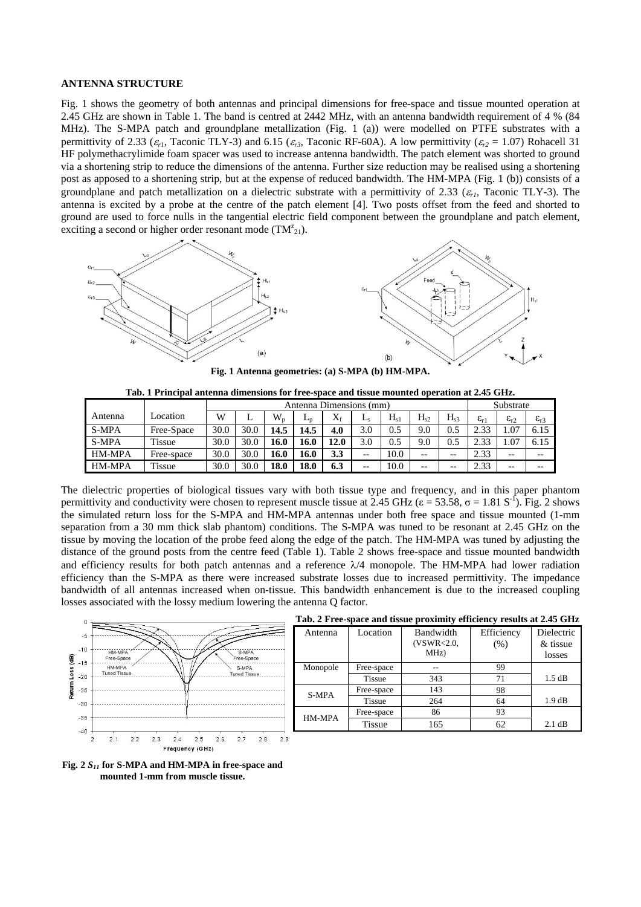### **ANTENNA STRUCTURE**

Fig. 1 shows the geometry of both antennas and principal dimensions for free-space and tissue mounted operation at 2.45 GHz are shown in Table 1. The band is centred at 2442 MHz, with an antenna bandwidth requirement of 4 % (84 MHz). The S-MPA patch and groundplane metallization (Fig. 1 (a)) were modelled on PTFE substrates with a permittivity of 2.33 ( $\varepsilon_{r1}$ , Taconic TLY-3) and 6.15 ( $\varepsilon_{r3}$ , Taconic RF-60A). A low permittivity ( $\varepsilon_{r2}$  = 1.07) Rohacell 31 HF polymethacrylimide foam spacer was used to increase antenna bandwidth. The patch element was shorted to ground via a shortening strip to reduce the dimensions of the antenna. Further size reduction may be realised using a shortening post as apposed to a shortening strip, but at the expense of reduced bandwidth. The HM-MPA (Fig. 1 (b)) consists of a groundplane and patch metallization on a dielectric substrate with a permittivity of 2.33 ( $\varepsilon_{r1}$ , Taconic TLY-3). The antenna is excited by a probe at the centre of the patch element [4]. Two posts offset from the feed and shorted to ground are used to force nulls in the tangential electric field component between the groundplane and patch element, exciting a second or higher order resonant mode  $(TM<sup>z</sup><sub>21</sub>)$ .



**Fig. 1 Antenna geometries: (a) S-MPA (b) HM-MPA.** 

| Tab. 1 Principal antenna dimensions for free-space and tissue mounted operation at 2.45 GHz. |            |                         |      |         |             |           |         |           |          |          |                    |                    |                 |
|----------------------------------------------------------------------------------------------|------------|-------------------------|------|---------|-------------|-----------|---------|-----------|----------|----------|--------------------|--------------------|-----------------|
|                                                                                              |            | Antenna Dimensions (mm) |      |         |             |           |         | Substrate |          |          |                    |                    |                 |
| Antenna                                                                                      | Location   | W                       |      | $W_{n}$ | $L_{\rm D}$ | $\rm X_f$ | $L_{S}$ | $H_{s1}$  | $H_{s2}$ | $H_{s3}$ | $\varepsilon_{r1}$ | $\varepsilon_{r2}$ | $\epsilon_{r3}$ |
| S-MPA                                                                                        | Free-Space | 30.0                    | 30.0 | 14.5    | 14.5        | 4.0       | 3.0     | 0.5       | 9.0      | 0.5      | 2.33               | 1.07               | 6.15            |
| S-MPA                                                                                        | Tissue     | 30.0                    | 30.0 | 16.0    | 16.0        | 12.0      | 3.0     | 0.5       | 9.0      | 0.5      | 2.33               | 1.07               | 6.15            |
| HM-MPA                                                                                       | Free-space | 30.0                    | 30.0 | 16.0    | 16.0        | 3.3       | $-$     | 10.0      | $- -$    | $- -$    | 2.33               | $- -$              |                 |
| HM-MPA                                                                                       | Tissue     | 30.0                    | 30.0 | 18.0    | 18.0        | 6.3       | $- -$   | 10.0      | $- -$    | $- -$    | 2.33               | $- -$              |                 |

The dielectric properties of biological tissues vary with both tissue type and frequency, and in this paper phantom permittivity and conductivity were chosen to represent muscle tissue at 2.45 GHz ( $\varepsilon$  = 53.58,  $\sigma$  = 1.81 S<sup>-1</sup>). Fig. 2 shows the simulated return loss for the S-MPA and HM-MPA antennas under both free space and tissue mounted (1-mm separation from a 30 mm thick slab phantom) conditions. The S-MPA was tuned to be resonant at 2.45 GHz on the tissue by moving the location of the probe feed along the edge of the patch. The HM-MPA was tuned by adjusting the distance of the ground posts from the centre feed (Table 1). Table 2 shows free-space and tissue mounted bandwidth and efficiency results for both patch antennas and a reference  $\lambda/4$  monopole. The HM-MPA had lower radiation efficiency than the S-MPA as there were increased substrate losses due to increased permittivity. The impedance bandwidth of all antennas increased when on-tissue. This bandwidth enhancement is due to the increased coupling losses associated with the lossy medium lowering the antenna Q factor.



|  |  |  |  | Tab. 2 Free-space and tissue proximity efficiency results at 2.45 GHz |  |  |
|--|--|--|--|-----------------------------------------------------------------------|--|--|
|  |  |  |  |                                                                       |  |  |

| Antenna  | Location      | <b>Bandwidth</b> | Efficiency | Dielectric       |
|----------|---------------|------------------|------------|------------------|
|          |               | (VSWR < 2.0      | (% )       | $&$ tissue       |
|          |               | MHz)             |            | losses           |
| Monopole | Free-space    |                  | 99         |                  |
|          | <b>Tissue</b> | 343              | 71         | 1.5 dB           |
| S-MPA    | Free-space    | 143              | 98         |                  |
|          | <b>Tissue</b> | 264              | 64         | 1.9 dB           |
|          | Free-space    | 86               | 93         |                  |
| HM-MPA   | <b>Tissue</b> | 165              | 62         | $2.1 \text{ dB}$ |

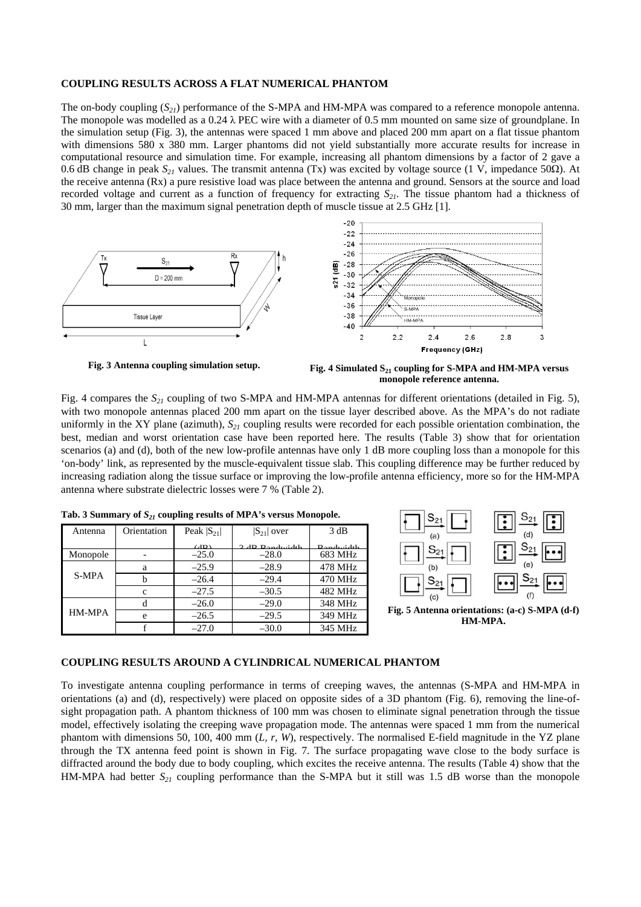## **COUPLING RESULTS ACROSS A FLAT NUMERICAL PHANTOM**

The on-body coupling (*S<sub>21</sub>*) performance of the S-MPA and HM-MPA was compared to a reference monopole antenna. The monopole was modelled as a  $0.24 \lambda$  PEC wire with a diameter of 0.5 mm mounted on same size of groundplane. In the simulation setup (Fig. 3), the antennas were spaced 1 mm above and placed 200 mm apart on a flat tissue phantom with dimensions 580 x 380 mm. Larger phantoms did not yield substantially more accurate results for increase in computational resource and simulation time. For example, increasing all phantom dimensions by a factor of 2 gave a 0.6 dB change in peak *S21* values. The transmit antenna (Tx) was excited by voltage source (1 V, impedance 50Ω). At the receive antenna (Rx) a pure resistive load was place between the antenna and ground. Sensors at the source and load recorded voltage and current as a function of frequency for extracting  $S_{21}$ . The tissue phantom had a thickness of 30 mm, larger than the maximum signal penetration depth of muscle tissue at 2.5 GHz [1].







Fig. 4 compares the *S21* coupling of two S-MPA and HM-MPA antennas for different orientations (detailed in Fig. 5), with two monopole antennas placed 200 mm apart on the tissue layer described above. As the MPA's do not radiate uniformly in the XY plane (azimuth),  $S_{21}$  coupling results were recorded for each possible orientation combination, the best, median and worst orientation case have been reported here. The results (Table 3) show that for orientation scenarios (a) and (d), both of the new low-profile antennas have only 1 dB more coupling loss than a monopole for this 'on-body' link, as represented by the muscle-equivalent tissue slab. This coupling difference may be further reduced by increasing radiation along the tissue surface or improving the low-profile antenna efficiency, more so for the HM-MPA antenna where substrate dielectric losses were 7 % (Table 2).

| Antenna  | Orientation | Peak $ S_{21} $ | $ S_{21} $ over      | 3 dB                   |
|----------|-------------|-----------------|----------------------|------------------------|
|          |             |                 |                      |                        |
|          |             | (AD)            | $2$ dD $D$ and $d+1$ | $D$ and $\ddotsc$ dthe |
| Monopole |             | $-25.0$         | $-28.0$              | 683 MHz                |
|          | a           | $-25.9$         | $-28.9$              | 478 MHz                |
| S-MPA    |             | $-26.4$         | $-29.4$              | 470 MHz                |
|          | C           | $-27.5$         | $-30.5$              | 482 MHz                |
|          | d           | $-26.0$         | $-29.0$              | 348 MHz                |
| HM-MPA   | e           | $-26.5$         | $-29.5$              | 349 MHz                |
|          |             | $-27.0$         | $-30.0$              | 345 MHz                |



**HM-MPA.** 

## **COUPLING RESULTS AROUND A CYLINDRICAL NUMERICAL PHANTOM**

To investigate antenna coupling performance in terms of creeping waves, the antennas (S-MPA and HM-MPA in orientations (a) and (d), respectively) were placed on opposite sides of a 3D phantom (Fig. 6), removing the line-ofsight propagation path. A phantom thickness of 100 mm was chosen to eliminate signal penetration through the tissue model, effectively isolating the creeping wave propagation mode. The antennas were spaced 1 mm from the numerical phantom with dimensions 50, 100, 400 mm (*L, r, W*), respectively. The normalised E-field magnitude in the YZ plane through the TX antenna feed point is shown in Fig. 7. The surface propagating wave close to the body surface is diffracted around the body due to body coupling, which excites the receive antenna. The results (Table 4) show that the HM-MPA had better  $S_{21}$  coupling performance than the S-MPA but it still was 1.5 dB worse than the monopole